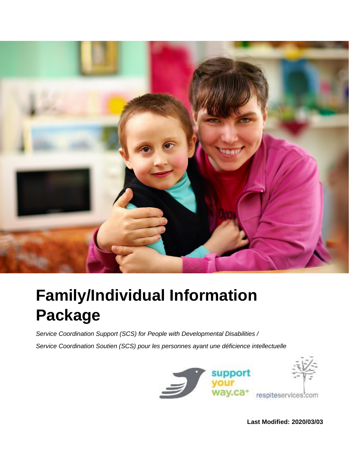

# **Family/Individual Information Package**

*Service Coordination Support (SCS) for People with Developmental Disabilities / Service Coordination Soutien (SCS) pour les personnes ayant une déficience intellectuelle*



**Last Modified: 2020/03/03**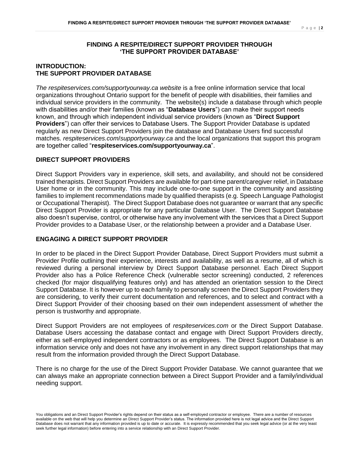## **FINDING A RESPITE/DIRECT SUPPORT PROVIDER THROUGH 'THE SUPPORT PROVIDER DATABASE'**

# **INTRODUCTION: THE SUPPORT PROVIDER DATABASE**

*The respiteservices.com/supportyourway.ca website* is a free online information service that local organizations throughout Ontario support for the benefit of people with disabilities, their families and individual service providers in the community. The website(s) include a database through which people with disabilities and/or their families (known as "**Database Users**") can make their support needs known, and through which independent individual service providers (known as "**Direct Support Providers**") can offer their services to Database Users. The Support Provider Database is updated regularly as new Direct Support Providers join the database and Database Users find successful matches. *respiteservices.com*/*supportyourway.ca* and the local organizations that support this program are together called "**respiteservices.com/supportyourway.ca**".

## **DIRECT SUPPORT PROVIDERS**

Direct Support Providers vary in experience, skill sets, and availability, and should not be considered trained therapists. Direct Support Providers are available for part-time parent/caregiver relief, in Database User home or in the community. This may include one-to-one support in the community and assisting families to implement recommendations made by qualified therapists (e.g. Speech Language Pathologist or Occupational Therapist). The Direct Support Database does not guarantee or warrant that any specific Direct Support Provider is appropriate for any particular Database User. The Direct Support Database also doesn't supervise, control, or otherwise have any involvement with the services that a Direct Support Provider provides to a Database User, or the relationship between a provider and a Database User.

## **ENGAGING A DIRECT SUPPORT PROVIDER**

In order to be placed in the Direct Support Provider Database, Direct Support Providers must submit a Provider Profile outlining their experience, interests and availability, as well as a resume, all of which is reviewed during a personal interview by Direct Support Database personnel. Each Direct Support Provider also has a Police Reference Check (vulnerable sector screening) conducted, 2 references checked (for major disqualifying features only) and has attended an orientation session to the Direct Support Database. It is however up to each family to personally screen the Direct Support Providers they are considering, to verify their current documentation and references, and to select and contract with a Direct Support Provider of their choosing based on their own independent assessment of whether the person is trustworthy and appropriate.

Direct Support Providers are not employees of *respiteservices.com* or the Direct Support Database. Database Users accessing the database contact and engage with Direct Support Providers directly, either as self-employed independent contractors or as employees. The Direct Support Database is an information service only and does not have any involvement in any direct support relationships that may result from the information provided through the Direct Support Database.

There is no charge for the use of the Direct Support Provider Database. We cannot guarantee that we can always make an appropriate connection between a Direct Support Provider and a family/individual needing support.

You obligations and an Direct Support Provider's rights depend on their status as a self-employed contractor or employee. There are a number of resources available on the web that will help you determine an Direct Support Provider's status. The information provided here is not legal advice and the Direct Support Database does not warrant that any information provided is up to date or accurate. It is expressly recommended that you seek legal advice (or at the very least seek further legal information) before entering into a service relationship with an Direct Support Provider.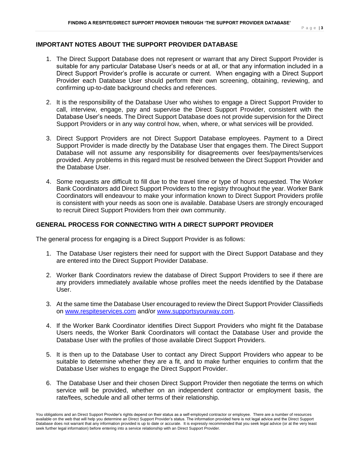## **IMPORTANT NOTES ABOUT THE SUPPORT PROVIDER DATABASE**

- 1. The Direct Support Database does not represent or warrant that any Direct Support Provider is suitable for any particular Database User's needs or at all, or that any information included in a Direct Support Provider's profile is accurate or current. When engaging with a Direct Support Provider each Database User should perform their own screening, obtaining, reviewing, and confirming up-to-date background checks and references.
- 2. It is the responsibility of the Database User who wishes to engage a Direct Support Provider to call, interview, engage, pay and supervise the Direct Support Provider, consistent with the Database User's needs. The Direct Support Database does not provide supervision for the Direct Support Providers or in any way control how, when, where, or what services will be provided.
- 3. Direct Support Providers are not Direct Support Database employees. Payment to a Direct Support Provider is made directly by the Database User that engages them. The Direct Support Database will not assume any responsibility for disagreements over fees/payments/services provided. Any problems in this regard must be resolved between the Direct Support Provider and the Database User.
- 4. Some requests are difficult to fill due to the travel time or type of hours requested. The Worker Bank Coordinators add Direct Support Providers to the registry throughout the year. Worker Bank Coordinators will endeavour to make your information known to Direct Support Providers profile is consistent with your needs as soon one is available. Database Users are strongly encouraged to recruit Direct Support Providers from their own community.

## **GENERAL PROCESS FOR CONNECTING WITH A DIRECT SUPPORT PROVIDER**

The general process for engaging is a Direct Support Provider is as follows:

- 1. The Database User registers their need for support with the Direct Support Database and they are entered into the Direct Support Provider Database.
- 2. Worker Bank Coordinators review the database of Direct Support Providers to see if there are any providers immediately available whose profiles meet the needs identified by the Database User.
- 3. At the same time the Database User encouraged to review the Direct Support Provider Classifieds on [www.respiteservices.com](http://www.respiteservices.com/) and/or [www.supportsyourway.com.](http://www.supportsyourway.com/)
- 4. If the Worker Bank Coordinator identifies Direct Support Providers who might fit the Database Users needs, the Worker Bank Coordinators will contact the Database User and provide the Database User with the profiles of those available Direct Support Providers.
- 5. It is then up to the Database User to contact any Direct Support Providers who appear to be suitable to determine whether they are a fit, and to make further enquiries to confirm that the Database User wishes to engage the Direct Support Provider.
- 6. The Database User and their chosen Direct Support Provider then negotiate the terms on which service will be provided, whether on an independent contractor or employment basis, the rate/fees, schedule and all other terms of their relationship.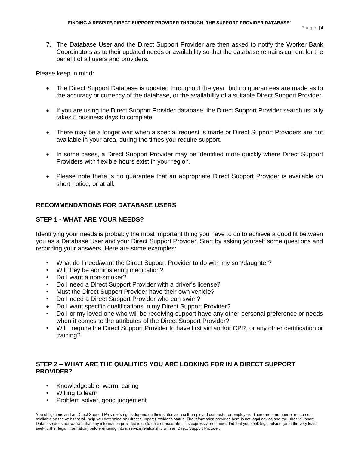7. The Database User and the Direct Support Provider are then asked to notify the Worker Bank Coordinators as to their updated needs or availability so that the database remains current for the benefit of all users and providers.

Please keep in mind:

- The Direct Support Database is updated throughout the year, but no guarantees are made as to the accuracy or currency of the database, or the availability of a suitable Direct Support Provider.
- If you are using the Direct Support Provider database, the Direct Support Provider search usually takes 5 business days to complete.
- There may be a longer wait when a special request is made or Direct Support Providers are not available in your area, during the times you require support.
- In some cases, a Direct Support Provider may be identified more quickly where Direct Support Providers with flexible hours exist in your region.
- Please note there is no guarantee that an appropriate Direct Support Provider is available on short notice, or at all.

## **RECOMMENDATIONS FOR DATABASE USERS**

## **STEP 1 - WHAT ARE YOUR NEEDS?**

Identifying your needs is probably the most important thing you have to do to achieve a good fit between you as a Database User and your Direct Support Provider. Start by asking yourself some questions and recording your answers. Here are some examples:

- What do I need/want the Direct Support Provider to do with my son/daughter?
- Will they be administering medication?
- Do I want a non-smoker?
- Do I need a Direct Support Provider with a driver's license?
- Must the Direct Support Provider have their own vehicle?
- Do I need a Direct Support Provider who can swim?
- Do I want specific qualifications in my Direct Support Provider?
- Do I or my loved one who will be receiving support have any other personal preference or needs when it comes to the attributes of the Direct Support Provider?
- Will I require the Direct Support Provider to have first aid and/or CPR, or any other certification or training?

## **STEP 2 – WHAT ARE THE QUALITIES YOU ARE LOOKING FOR IN A DIRECT SUPPORT PROVIDER?**

- Knowledgeable, warm, caring
- Willing to learn
- Problem solver, good judgement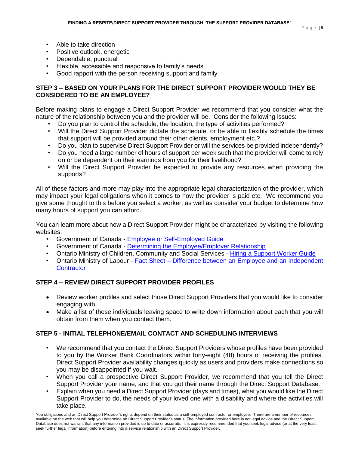- Able to take direction
- Positive outlook, energetic
- Dependable, punctual
- Flexible, accessible and responsive to family's needs
- Good rapport with the person receiving support and family

# **STEP 3 – BASED ON YOUR PLANS FOR THE DIRECT SUPPORT PROVIDER WOULD THEY BE CONSIDERED TO BE AN EMPLOYEE?**

Before making plans to engage a Direct Support Provider we recommend that you consider what the nature of the relationship between you and the provider will be. Consider the following issues:

- Do you plan to control the schedule, the location, the type of activities performed?
- Will the Direct Support Provider dictate the schedule, or be able to flexibly schedule the times that support will be provided around their other clients, employment etc.?
- Do you plan to supervise Direct Support Provider or will the services be provided independently?
- Do you need a large number of hours of support per week such that the provider will come to rely on or be dependent on their earnings from you for their livelihood?
- Will the Direct Support Provider be expected to provide any resources when providing the supports?

All of these factors and more may play into the appropriate legal characterization of the provider, which may impact your legal obligations when it comes to how the provider is paid etc. We recommend you give some thought to this before you select a worker, as well as consider your budget to determine how many hours of support you can afford.

You can learn more about how a Direct Support Provider might be characterized by visiting the following websites:

- Government of Canada [Employee or Self-Employed Guide](https://www.canada.ca/content/dam/cra-arc/migration/cra-arc/E/pub/tg/rc4110/rc4110-17e.pdf)
- Government of Canada [Determining the Employee/Employer Relationship](https://www.canada.ca/en/employment-social-development/programs/laws-regulations/labour/interpretations-policies/employer-employee.html)
- Ontario Ministry of Children, Community and Social Services [Hiring a Support Worker Guide](https://www.mcss.gov.on.ca/documents/en/mcss/publications/developmental/HiringSupportWorker.pdf)
- Ontario Ministry of Labour Fact Sheet [Difference between an Employee and an Independent](https://www.ontario.ca/page/difference-between-employee-and-independent-contractor)  **[Contractor](https://www.ontario.ca/page/difference-between-employee-and-independent-contractor)**

# **STEP 4 – REVIEW DIRECT SUPPORT PROVIDER PROFILES**

- Review worker profiles and select those Direct Support Providers that you would like to consider engaging with.
- Make a list of these individuals leaving space to write down information about each that you will obtain from them when you contact them.

# **STEP 5 - INITIAL TELEPHONE/EMAIL CONTACT AND SCHEDULING INTERVIEWS**

- We recommend that you contact the Direct Support Providers whose profiles have been provided to you by the Worker Bank Coordinators within forty-eight (48) hours of receiving the profiles. Direct Support Provider availability changes quickly as users and providers make connections so you may be disappointed if you wait.
- When you call a prospective Direct Support Provider, we recommend that you tell the Direct Support Provider your name, and that you got their name through the Direct Support Database.
- Explain when you need a Direct Support Provider (days and times), what you would like the Direct Support Provider to do, the needs of your loved one with a disability and where the activities will take place.

You obligations and an Direct Support Provider's rights depend on their status as a self-employed contractor or employee. There are a number of resources available on the web that will help you determine an Direct Support Provider's status. The information provided here is not legal advice and the Direct Support Database does not warrant that any information provided is up to date or accurate. It is expressly recommended that you seek legal advice (or at the very least seek further legal information) before entering into a service relationship with an Direct Support Provider.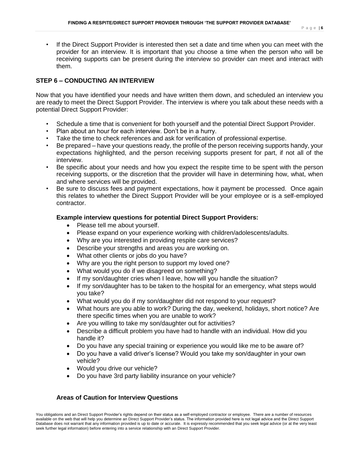• If the Direct Support Provider is interested then set a date and time when you can meet with the provider for an interview. It is important that you choose a time when the person who will be receiving supports can be present during the interview so provider can meet and interact with them.

## **STEP 6 – CONDUCTING AN INTERVIEW**

Now that you have identified your needs and have written them down, and scheduled an interview you are ready to meet the Direct Support Provider. The interview is where you talk about these needs with a potential Direct Support Provider:

- Schedule a time that is convenient for both yourself and the potential Direct Support Provider.
- Plan about an hour for each interview. Don't be in a hurry.
- Take the time to check references and ask for verification of professional expertise.
- Be prepared have your questions ready, the profile of the person receiving supports handy, your expectations highlighted, and the person receiving supports present for part, if not all of the interview.
- Be specific about your needs and how you expect the respite time to be spent with the person receiving supports, or the discretion that the provider will have in determining how, what, when and where services will be provided.
- Be sure to discuss fees and payment expectations, how it payment be processed. Once again this relates to whether the Direct Support Provider will be your employee or is a self-employed contractor.

## **Example interview questions for potential Direct Support Providers:**

- Please tell me about yourself.
- Please expand on your experience working with children/adolescents/adults.
- Why are you interested in providing respite care services?
- Describe your strengths and areas you are working on.
- What other clients or jobs do you have?
- Why are you the right person to support my loved one?
- What would you do if we disagreed on something?
- If my son/daughter cries when I leave, how will you handle the situation?
- If my son/daughter has to be taken to the hospital for an emergency, what steps would you take?
- What would you do if my son/daughter did not respond to your request?
- What hours are you able to work? During the day, weekend, holidays, short notice? Are there specific times when you are unable to work?
- Are you willing to take my son/daughter out for activities?
- Describe a difficult problem you have had to handle with an individual. How did you handle it?
- Do you have any special training or experience you would like me to be aware of?
- Do you have a valid driver's license? Would you take my son/daughter in your own vehicle?
- Would you drive our vehicle?
- Do you have 3rd party liability insurance on your vehicle?

## **Areas of Caution for Interview Questions**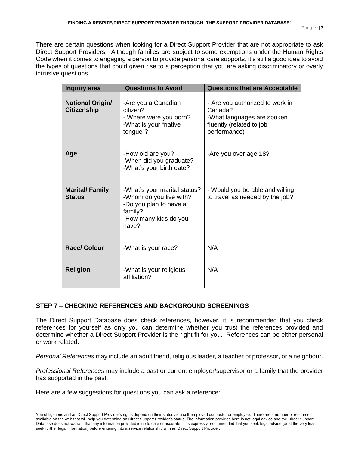There are certain questions when looking for a Direct Support Provider that are not appropriate to ask Direct Support Providers. Although families are subject to some exemptions under the Human Rights Code when it comes to engaging a person to provide personal care supports, it's still a good idea to avoid the types of questions that could given rise to a perception that you are asking discriminatory or overly intrusive questions.

| Inquiry area                                  | <b>Questions to Avoid</b>                                                                                                      | <b>Questions that are Acceptable</b>                                                                                 |  |  |
|-----------------------------------------------|--------------------------------------------------------------------------------------------------------------------------------|----------------------------------------------------------------------------------------------------------------------|--|--|
| <b>National Origin/</b><br><b>Citizenship</b> | -Are you a Canadian<br>citizen?<br>- Where were you born?<br>-What is your "native<br>tongue"?                                 | - Are you authorized to work in<br>Canada?<br>-What languages are spoken<br>fluently (related to job<br>performance) |  |  |
| Age                                           | -How old are you?<br>-When did you graduate?<br>-What's your birth date?                                                       | -Are you over age 18?                                                                                                |  |  |
| <b>Marital/Family</b><br><b>Status</b>        | -What's your marital status?<br>-Whom do you live with?<br>-Do you plan to have a<br>family?<br>-How many kids do you<br>have? | - Would you be able and willing<br>to travel as needed by the job?                                                   |  |  |
| <b>Race/ Colour</b>                           | -What is your race?                                                                                                            | N/A                                                                                                                  |  |  |
| <b>Religion</b>                               | -What is your religious<br>affiliation?                                                                                        | N/A                                                                                                                  |  |  |

# **STEP 7 – CHECKING REFERENCES AND BACKGROUND SCREENINGS**

The Direct Support Database does check references, however, it is recommended that you check references for yourself as only you can determine whether you trust the references provided and determine whether a Direct Support Provider is the right fit for you. References can be either personal or work related.

*Personal References* may include an adult friend, religious leader, a teacher or professor, or a neighbour.

*Professional References* may include a past or current employer/supervisor or a family that the provider has supported in the past.

Here are a few suggestions for questions you can ask a reference: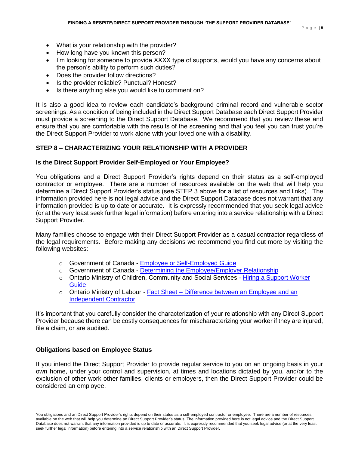- What is your relationship with the provider?
- How long have you known this person?
- I'm looking for someone to provide XXXX type of supports, would you have any concerns about the person's ability to perform such duties?
- Does the provider follow directions?
- Is the provider reliable? Punctual? Honest?
- Is there anything else you would like to comment on?

It is also a good idea to review each candidate's background criminal record and vulnerable sector screenings. As a condition of being included in the Direct Support Database each Direct Support Provider must provide a screening to the Direct Support Database. We recommend that you review these and ensure that you are comfortable with the results of the screening and that you feel you can trust you're the Direct Support Provider to work alone with your loved one with a disability.

# **STEP 8 – CHARACTERIZING YOUR RELATIONSHIP WITH A PROVIDER**

## **Is the Direct Support Provider Self-Employed or Your Employee?**

You obligations and a Direct Support Provider's rights depend on their status as a self-employed contractor or employee. There are a number of resources available on the web that will help you determine a Direct Support Provider's status (see STEP 3 above for a list of resources and links).The information provided here is not legal advice and the Direct Support Database does not warrant that any information provided is up to date or accurate. It is expressly recommended that you seek legal advice (or at the very least seek further legal information) before entering into a service relationship with a Direct Support Provider.

Many families choose to engage with their Direct Support Provider as a casual contractor regardless of the legal requirements. Before making any decisions we recommend you find out more by visiting the following websites:

- o Government of Canada [Employee or Self-Employed Guide](https://www.canada.ca/content/dam/cra-arc/migration/cra-arc/E/pub/tg/rc4110/rc4110-17e.pdf)
- o Government of Canada [Determining the Employee/Employer Relationship](https://www.canada.ca/en/employment-social-development/programs/laws-regulations/labour/interpretations-policies/employer-employee.html)
- $\circ$  Ontario Ministry of Children, Community and Social Services Hiring a Support Worker **[Guide](https://www.mcss.gov.on.ca/documents/en/mcss/publications/developmental/HiringSupportWorker.pdf)**
- $\circ$  Ontario Ministry of Labour Fact Sheet Difference between an Employee and an [Independent Contractor](https://www.ontario.ca/page/difference-between-employee-and-independent-contractor)

It's important that you carefully consider the characterization of your relationship with any Direct Support Provider because there can be costly consequences for mischaracterizing your worker if they are injured, file a claim, or are audited.

## **Obligations based on Employee Status**

If you intend the Direct Support Provider to provide regular service to you on an ongoing basis in your own home, under your control and supervision, at times and locations dictated by you, and/or to the exclusion of other work other families, clients or employers, then the Direct Support Provider could be considered an employee.

You obligations and an Direct Support Provider's rights depend on their status as a self-employed contractor or employee. There are a number of resources available on the web that will help you determine an Direct Support Provider's status. The information provided here is not legal advice and the Direct Support Database does not warrant that any information provided is up to date or accurate. It is expressly recommended that you seek legal advice (or at the very least seek further legal information) before entering into a service relationship with an Direct Support Provider.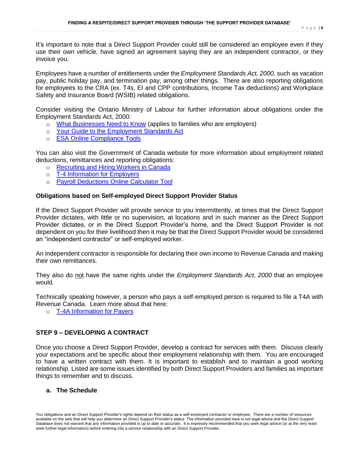It's important to note that a Direct Support Provider could still be considered an employee even if they use their own vehicle, have signed an agreement saying they are an independent contractor, or they invoice you.

Employees have a number of entitlements under the *Employment Standards Act, 2000,* such as vacation pay, public holiday pay, and termination pay, among other things. There are also reporting obligations for employees to the CRA (ex. T4s, EI and CPP contributions, Income Tax deductions) and Workplace Safety and Insurance Board (WSIB) related obligations.

Consider visiting the Ontario Ministry of Labour for further information about obligations under the Employment Standards Act, 2000:

- o [What Businesses Need to Know](file:///C:/Users/jabou-chaaya/AppData/Local/Microsoft/Windows/Temporary%20Internet%20Files/Content.Outlook/FCQP29EK/o%09https:/www.labour.gov.on.ca/english/es/pub%20/fs_compliance.php) (applies to families who are employers)
- o [Your Guide to the Employment Standards Act](file:///C:/Users/jabou-chaaya/AppData/Local/Microsoft/Windows/Temporary%20Internet%20Files/Content.Outlook/FCQP29EK/•%09https:/www.ontario.ca/document/your-guide-employment-standards-act)
- o [ESA Online Compliance Tools](file:///C:/Users/jabou-chaaya/AppData/Local/Microsoft/Windows/Temporary%20Internet%20Files/Content.Outlook/FCQP29EK/o%09https:/www.labour.gov.on.ca/english/es/pub%20/fs_compliance.php)

You can also visit the Government of Canada website for more information about employment related deductions, remittances and reporting obligations:

- o [Recruiting and Hiring Workers in Canada](https://www.canada.ca/en/services/business/hire.html)
- o [T-4 Information for Employers](file:///C:/Users/jabou-chaaya/AppData/Local/Microsoft/Windows/Temporary%20Internet%20Files/Content.Outlook/FCQP29EK/o%09https:/www.canada.ca/en/revenue-agency/services/tax/businesses/topics/payroll/completing-filing-information-returns/t4-information-employers.html)
- o [Payroll Deductions Online Calculator Tool](https://www.canada.ca/en/revenue-agency/services/e-services/e-services-businesses/payroll-deductions-online-calculator.html)

## **Obligations based on Self-employed Direct Support Provider Status**

If the Direct Support Provider will provide service to you intermittently, at times that the Direct Support Provider dictates, with little or no supervision, at locations and in such manner as the Direct Support Provider dictates, or in the Direct Support Provider's home, and the Direct Support Provider is not dependent on you for their livelihood then it may be that the Direct Support Provider would be considered an "independent contractor" or self-employed worker.

An independent contractor is responsible for declaring their own income to Revenue Canada and making their own remittances.

They also do not have the same rights under the *Employment Standards Act, 2000* that an employee would.

Technically speaking however, a person who pays a self-employed person is required to file a T4A with Revenue Canada. Learn more about that here:

o [T-4A Information for Payers](https://www.canada.ca/en/revenue-agency/services/tax/businesses/topics/payroll/completing-filing-information-returns/t4a-information-payers/t4a-slip/what-report-exceptions.html)

# **STEP 9 – DEVELOPING A CONTRACT**

Once you choose a Direct Support Provider, develop a contract for services with them. Discuss clearly your expectations and be specific about their employment relationship with them. You are encouraged to have a written contract with them. It is important to establish and to maintain a good working relationship. Listed are some issues identified by both Direct Support Providers and families as important things to remember and to discuss.

## **a. The Schedule**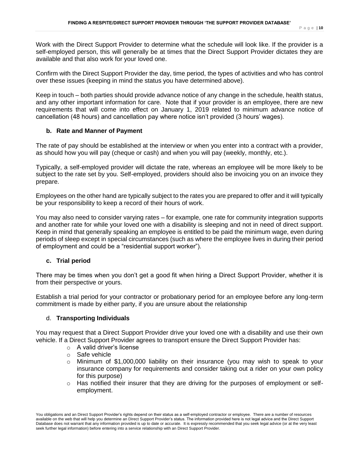Work with the Direct Support Provider to determine what the schedule will look like. If the provider is a self-employed person, this will generally be at times that the Direct Support Provider dictates they are available and that also work for your loved one.

Confirm with the Direct Support Provider the day, time period, the types of activities and who has control over these issues (keeping in mind the status you have determined above).

Keep in touch – both parties should provide advance notice of any change in the schedule, health status, and any other important information for care. Note that if your provider is an employee, there are new requirements that will come into effect on January 1, 2019 related to minimum advance notice of cancellation (48 hours) and cancellation pay where notice isn't provided (3 hours' wages).

## **b. Rate and Manner of Payment**

The rate of pay should be established at the interview or when you enter into a contract with a provider, as should how you will pay (cheque or cash) and when you will pay (weekly, monthly, etc.).

Typically, a self-employed provider will dictate the rate, whereas an employee will be more likely to be subject to the rate set by you. Self-employed, providers should also be invoicing you on an invoice they prepare.

Employees on the other hand are typically subject to the rates you are prepared to offer and it will typically be your responsibility to keep a record of their hours of work.

You may also need to consider varying rates – for example, one rate for community integration supports and another rate for while your loved one with a disability is sleeping and not in need of direct support. Keep in mind that generally speaking an employee is entitled to be paid the minimum wage, even during periods of sleep except in special circumstances (such as where the employee lives in during their period of employment and could be a "residential support worker").

## **c. Trial period**

There may be times when you don't get a good fit when hiring a Direct Support Provider, whether it is from their perspective or yours.

Establish a trial period for your contractor or probationary period for an employee before any long-term commitment is made by either party, if you are unsure about the relationship

## d. **Transporting Individuals**

You may request that a Direct Support Provider drive your loved one with a disability and use their own vehicle. If a Direct Support Provider agrees to transport ensure the Direct Support Provider has:

- o A valid driver's license
- o Safe vehicle
- $\circ$  Minimum of \$1,000,000 liability on their insurance (you may wish to speak to your insurance company for requirements and consider taking out a rider on your own policy for this purpose)
- $\circ$  Has notified their insurer that they are driving for the purposes of employment or selfemployment.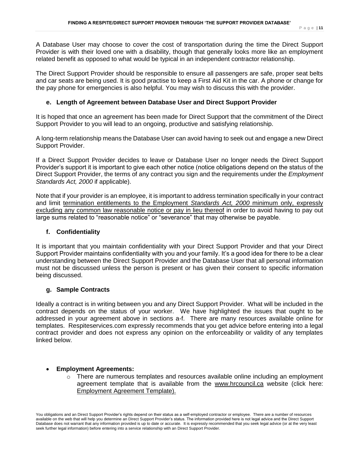A Database User may choose to cover the cost of transportation during the time the Direct Support Provider is with their loved one with a disability, though that generally looks more like an employment related benefit as opposed to what would be typical in an independent contractor relationship.

The Direct Support Provider should be responsible to ensure all passengers are safe, proper seat belts and car seats are being used. It is good practise to keep a First Aid Kit in the car. A phone or change for the pay phone for emergencies is also helpful. You may wish to discuss this with the provider.

## **e. Length of Agreement between Database User and Direct Support Provider**

It is hoped that once an agreement has been made for Direct Support that the commitment of the Direct Support Provider to you will lead to an ongoing, productive and satisfying relationship.

A long-term relationship means the Database User can avoid having to seek out and engage a new Direct Support Provider.

If a Direct Support Provider decides to leave or Database User no longer needs the Direct Support Provider's support it is important to give each other notice (notice obligations depend on the status of the Direct Support Provider, the terms of any contract you sign and the requirements under the *Employment Standards Act, 2000* if applicable).

Note that if your provider is an employee, it is important to address termination specifically in your contract and limit termination entitlements to the Employment *Standards Act, 2000* minimum only, expressly excluding any common law reasonable notice or pay in lieu thereof in order to avoid having to pay out large sums related to "reasonable notice" or "severance" that may otherwise be payable.

## **f. Confidentiality**

It is important that you maintain confidentiality with your Direct Support Provider and that your Direct Support Provider maintains confidentiality with you and your family. It's a good idea for there to be a clear understanding between the Direct Support Provider and the Database User that all personal information must not be discussed unless the person is present or has given their consent to specific information being discussed.

## **g. Sample Contracts**

Ideally a contract is in writing between you and any Direct Support Provider. What will be included in the contract depends on the status of your worker. We have highlighted the issues that ought to be addressed in your agreement above in sections a-f. There are many resources available online for templates. Respiteservices.com expressly recommends that you get advice before entering into a legal contract provider and does not express any opinion on the enforceability or validity of any templates linked below.

## **Employment Agreements:**

 $\circ$  There are numerous templates and resources available online including an employment agreement template that is available from the [www.hrcouncil.ca](http://www.hrcouncil.ca/) website (click here: [Employment](http://www.hrcouncil.ca/docs/Template_for_an_Employment_Agreement.doc) Agreement Template).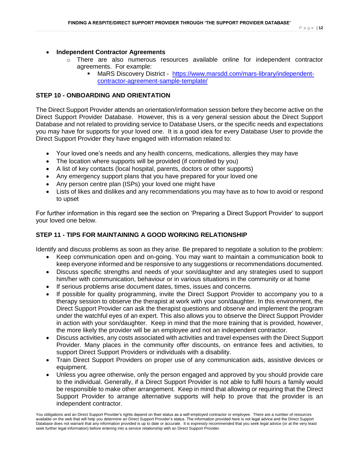## **Independent Contractor Agreements**

- o There are also numerous resources available online for independent contractor agreements. For example:
	- MaRS Discovery District [https://www.marsdd.com/mars-library/independent](https://www.marsdd.com/mars-library/independent-contractor-agreement-sample-template/)[contractor-agreement-sample-template/](https://www.marsdd.com/mars-library/independent-contractor-agreement-sample-template/)

# **STEP 10 - ONBOARDING AND ORIENTATION**

The Direct Support Provider attends an orientation/information session before they become active on the Direct Support Provider Database. However, this is a very general session about the Direct Support Database and not related to providing service to Database Users, or the specific needs and expectations you may have for supports for your loved one. It is a good idea for every Database User to provide the Direct Support Provider they have engaged with information related to:

- Your loved one's needs and any health concerns, medications, allergies they may have
- The location where supports will be provided (if controlled by you)
- A list of key contacts (local hospital, parents, doctors or other supports)
- Any emergency support plans that you have prepared for your loved one
- Any person centre plan (ISPs) your loved one might have
- Lists of likes and dislikes and any recommendations you may have as to how to avoid or respond to upset

For further information in this regard see the section on 'Preparing a Direct Support Provider' to support your loved one below.

# **STEP 11 - TIPS FOR MAINTAINING A GOOD WORKING RELATIONSHIP**

Identify and discuss problems as soon as they arise. Be prepared to negotiate a solution to the problem:

- Keep communication open and on-going. You may want to maintain a communication book to keep everyone informed and be responsive to any suggestions or recommendations documented.
- Discuss specific strengths and needs of your son/daughter and any strategies used to support him/her with communication, behaviour or in various situations in the community or at home
- If serious problems arise document dates, times, issues and concerns.
- If possible for quality programming, invite the Direct Support Provider to accompany you to a therapy session to observe the therapist at work with your son/daughter. In this environment, the Direct Support Provider can ask the therapist questions and observe and implement the program under the watchful eyes of an expert. This also allows you to observe the Direct Support Provider in action with your son/daughter. Keep in mind that the more training that is provided, however, the more likely the provider will be an employee and not an independent contractor.
- Discuss activities, any costs associated with activities and travel expenses with the Direct Support Provider. Many places in the community offer discounts, on entrance fees and activities, to support Direct Support Providers or individuals with a disability.
- Train Direct Support Providers on proper use of any communication aids, assistive devices or equipment.
- Unless you agree otherwise, only the person engaged and approved by you should provide care to the individual. Generally, if a Direct Support Provider is not able to fulfil hours a family would be responsible to make other arrangement. Keep in mind that allowing or requiring that the Direct Support Provider to arrange alternative supports will help to prove that the provider is an independent contractor.

You obligations and an Direct Support Provider's rights depend on their status as a self-employed contractor or employee. There are a number of resources available on the web that will help you determine an Direct Support Provider's status. The information provided here is not legal advice and the Direct Support Database does not warrant that any information provided is up to date or accurate. It is expressly recommended that you seek legal advice (or at the very least seek further legal information) before entering into a service relationship with an Direct Support Provider.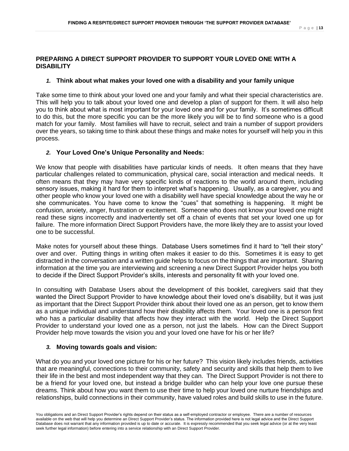# **PREPARING A DIRECT SUPPORT PROVIDER TO SUPPORT YOUR LOVED ONE WITH A DISABILITY**

## *1.* **Think about what makes your loved one with a disability and your family unique**

Take some time to think about your loved one and your family and what their special characteristics are. This will help you to talk about your loved one and develop a plan of support for them. It will also help you to think about what is most important for your loved one and for your family. It's sometimes difficult to do this, but the more specific you can be the more likely you will be to find someone who is a good match for your family. Most families will have to recruit, select and train a number of support providers over the years, so taking time to think about these things and make notes for yourself will help you in this process.

## *2.* **Your Loved One's Unique Personality and Needs:**

We know that people with disabilities have particular kinds of needs. It often means that they have particular challenges related to communication, physical care, social interaction and medical needs. It often means that they may have very specific kinds of reactions to the world around them, including sensory issues, making it hard for them to interpret what's happening. Usually, as a caregiver, you and other people who know your loved one with a disability well have special knowledge about the way he or she communicates. You have come to know the "cues" that something is happening. It might be confusion, anxiety, anger, frustration or excitement. Someone who does not know your loved one might read these signs incorrectly and inadvertently set off a chain of events that set your loved one up for failure. The more information Direct Support Providers have, the more likely they are to assist your loved one to be successful.

Make notes for yourself about these things. Database Users sometimes find it hard to "tell their story" over and over. Putting things in writing often makes it easier to do this. Sometimes it is easy to get distracted in the conversation and a written guide helps to focus on the things that are important. Sharing information at the time you are interviewing and screening a new Direct Support Provider helps you both to decide if the Direct Support Provider's skills, interests and personality fit with your loved one.

In consulting with Database Users about the development of this booklet, caregivers said that they wanted the Direct Support Provider to have knowledge about their loved one's disability, but it was just as important that the Direct Support Provider think about their loved one as an person, get to know them as a unique individual and understand how their disability affects them. Your loved one is a person first who has a particular disability that affects how they interact with the world. Help the Direct Support Provider to understand your loved one as a person, not just the labels. How can the Direct Support Provider help move towards the vision you and your loved one have for his or her life?

## *3.* **Moving towards goals and vision:**

What do you and your loved one picture for his or her future? This vision likely includes friends, activities that are meaningful, connections to their community, safety and security and skills that help them to live their life in the best and most independent way that they can. The Direct Support Provider is not there to be a friend for your loved one, but instead a bridge builder who can help your love one pursue these dreams. Think about how you want them to use their time to help your loved one nurture friendships and relationships, build connections in their community, have valued roles and build skills to use in the future.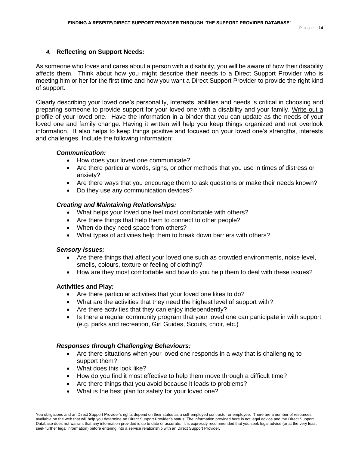# *4.* **Reflecting on Support Needs***:*

As someone who loves and cares about a person with a disability, you will be aware of how their disability affects them. Think about how you might describe their needs to a Direct Support Provider who is meeting him or her for the first time and how you want a Direct Support Provider to provide the right kind of support.

Clearly describing your loved one's personality, interests, abilities and needs is critical in choosing and preparing someone to provide support for your loved one with a disability and your family. Write out a profile of your loved one. Have the information in a binder that you can update as the needs of your loved one and family change. Having it written will help you keep things organized and not overlook information. It also helps to keep things positive and focused on your loved one's strengths, interests and challenges. Include the following information:

## *Communication:*

- How does your loved one communicate?
- Are there particular words, signs, or other methods that you use in times of distress or anxiety?
- Are there ways that you encourage them to ask questions or make their needs known?
- Do they use any communication devices?

## *Creating and Maintaining Relationships:*

- What helps your loved one feel most comfortable with others?
- Are there things that help them to connect to other people?
- When do they need space from others?
- What types of activities help them to break down barriers with others?

## *Sensory Issues:*

- Are there things that affect your loved one such as crowded environments, noise level, smells, colours, texture or feeling of clothing?
- How are they most comfortable and how do you help them to deal with these issues?

# **Activities and Play:**

- Are there particular activities that your loved one likes to do?
- What are the activities that they need the highest level of support with?
- Are there activities that they can enjoy independently?
- Is there a regular community program that your loved one can participate in with support (e.g. parks and recreation, Girl Guides, Scouts, choir, etc.)

## *Responses through Challenging Behaviours:*

- Are there situations when your loved one responds in a way that is challenging to support them?
- What does this look like?
- How do you find it most effective to help them move through a difficult time?
- Are there things that you avoid because it leads to problems?
- What is the best plan for safety for your loved one?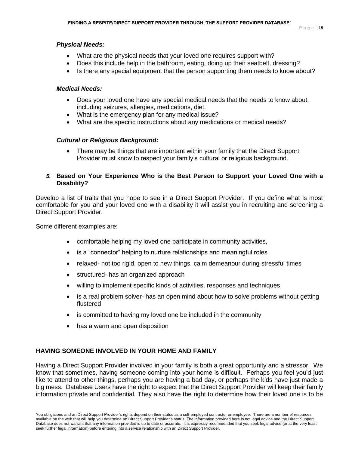## *Physical Needs:*

- What are the physical needs that your loved one requires support with?
- Does this include help in the bathroom, eating, doing up their seatbelt, dressing?
- Is there any special equipment that the person supporting them needs to know about?

# *Medical Needs:*

- Does your loved one have any special medical needs that the needs to know about, including seizures, allergies, medications, diet.
- What is the emergency plan for any medical issue?
- What are the specific instructions about any medications or medical needs?

# *Cultural or Religious Background:*

 There may be things that are important within your family that the Direct Support Provider must know to respect your family's cultural or religious background.

# *5.* **Based on Your Experience Who is the Best Person to Support your Loved One with a Disability?**

Develop a list of traits that you hope to see in a Direct Support Provider. If you define what is most comfortable for you and your loved one with a disability it will assist you in recruiting and screening a Direct Support Provider.

Some different examples are:

- comfortable helping my loved one participate in community activities,
- is a "connector" helping to nurture relationships and meaningful roles
- relaxed- not too rigid, open to new things, calm demeanour during stressful times
- structured- has an organized approach
- willing to implement specific kinds of activities, responses and techniques
- is a real problem solver- has an open mind about how to solve problems without getting flustered
- is committed to having my loved one be included in the community
- has a warm and open disposition

# **HAVING SOMEONE INVOLVED IN YOUR HOME AND FAMILY**

Having a Direct Support Provider involved in your family is both a great opportunity and a stressor. We know that sometimes, having someone coming into your home is difficult. Perhaps you feel you'd just like to attend to other things, perhaps you are having a bad day, or perhaps the kids have just made a big mess. Database Users have the right to expect that the Direct Support Provider will keep their family information private and confidential. They also have the right to determine how their loved one is to be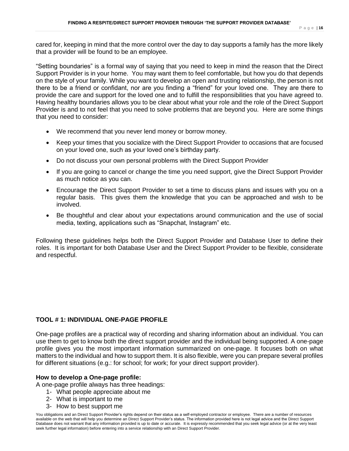cared for, keeping in mind that the more control over the day to day supports a family has the more likely that a provider will be found to be an employee.

"Setting boundaries" is a formal way of saying that you need to keep in mind the reason that the Direct Support Provider is in your home. You may want them to feel comfortable, but how you do that depends on the style of your family. While you want to develop an open and trusting relationship, the person is not there to be a friend or confidant, nor are you finding a "friend" for your loved one. They are there to provide the care and support for the loved one and to fulfill the responsibilities that you have agreed to. Having healthy boundaries allows you to be clear about what your role and the role of the Direct Support Provider is and to not feel that you need to solve problems that are beyond you. Here are some things that you need to consider:

- We recommend that you never lend money or borrow money.
- Keep your times that you socialize with the Direct Support Provider to occasions that are focused on your loved one, such as your loved one's birthday party.
- Do not discuss your own personal problems with the Direct Support Provider
- If you are going to cancel or change the time you need support, give the Direct Support Provider as much notice as you can.
- Encourage the Direct Support Provider to set a time to discuss plans and issues with you on a regular basis. This gives them the knowledge that you can be approached and wish to be involved.
- Be thoughtful and clear about your expectations around communication and the use of social media, texting, applications such as "Snapchat, Instagram" etc.

Following these guidelines helps both the Direct Support Provider and Database User to define their roles. It is important for both Database User and the Direct Support Provider to be flexible, considerate and respectful.

## **TOOL # 1: INDIVIDUAL ONE-PAGE PROFILE**

One-page profiles are a practical way of recording and sharing information about an individual. You can use them to get to know both the direct support provider and the individual being supported. A one-page profile gives you the most important information summarized on one-page. It focuses both on what matters to the individual and how to support them. It is also flexible, were you can prepare several profiles for different situations (e.g.: for school; for work; for your direct support provider).

#### **How to develop a One-page profile:**

A one-page profile always has three headings:

- 1- What people appreciate about me
- 2- What is important to me
- 3- How to best support me

You obligations and an Direct Support Provider's rights depend on their status as a self-employed contractor or employee. There are a number of resources available on the web that will help you determine an Direct Support Provider's status. The information provided here is not legal advice and the Direct Support Database does not warrant that any information provided is up to date or accurate. It is expressly recommended that you seek legal advice (or at the very least seek further legal information) before entering into a service relationship with an Direct Support Provider.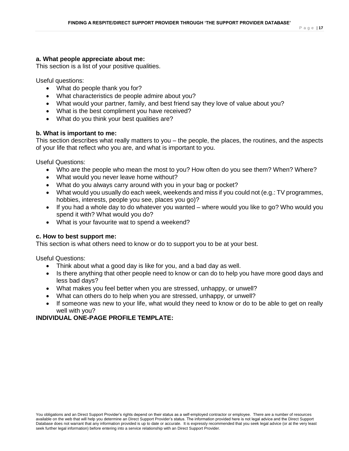#### **a. What people appreciate about me:**

This section is a list of your positive qualities.

Useful questions:

- What do people thank you for?
- What characteristics de people admire about you?
- What would your partner, family, and best friend say they love of value about you?
- What is the best compliment you have received?
- What do you think your best qualities are?

## **b. What is important to me:**

This section describes what really matters to you – the people, the places, the routines, and the aspects of your life that reflect who you are, and what is important to you.

Useful Questions:

- Who are the people who mean the most to you? How often do you see them? When? Where?
- What would you never leave home without?
- What do you always carry around with you in your bag or pocket?
- What would you usually do each week, weekends and miss if you could not (e.g.: TV programmes, hobbies, interests, people you see, places you go)?
- If you had a whole day to do whatever you wanted where would you like to go? Who would you spend it with? What would you do?
- What is your favourite wat to spend a weekend?

## **c. How to best support me:**

This section is what others need to know or do to support you to be at your best.

Useful Questions:

- Think about what a good day is like for you, and a bad day as well.
- Is there anything that other people need to know or can do to help you have more good days and less bad days?
- What makes you feel better when you are stressed, unhappy, or unwell?
- What can others do to help when you are stressed, unhappy, or unwell?
- If someone was new to your life, what would they need to know or do to be able to get on really well with you?

# **INDIVIDUAL ONE-PAGE PROFILE TEMPLATE:**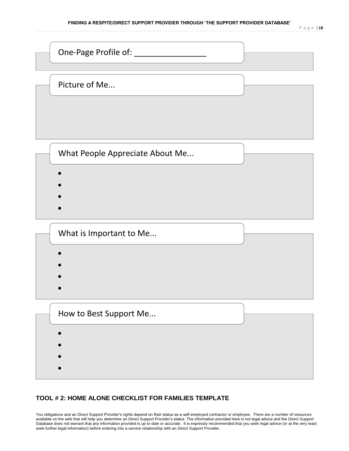

## **TOOL # 2: HOME ALONE CHECKLIST FOR FAMILIES TEMPLATE**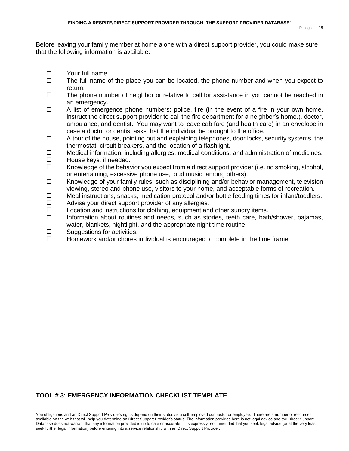Before leaving your family member at home alone with a direct support provider, you could make sure that the following information is available:

- □ Your full name.
- $\Box$  The full name of the place you can be located, the phone number and when you expect to return.
- $\Box$  The phone number of neighbor or relative to call for assistance in you cannot be reached in an emergency.
- $\Box$  A list of emergence phone numbers: police, fire (in the event of a fire in your own home, instruct the direct support provider to call the fire department for a neighbor's home.), doctor, ambulance, and dentist. You may want to leave cab fare (and health card) in an envelope in case a doctor or dentist asks that the individual be brought to the office.
- $\Box$  A tour of the house, pointing out and explaining telephones, door locks, security systems, the thermostat, circuit breakers, and the location of a flashlight.
- $\Box$  Medical information, including allergies, medical conditions, and administration of medicines.
- $\Box$  House keys, if needed.
- $\Box$  Knowledge of the behavior you expect from a direct support provider (i.e. no smoking, alcohol, or entertaining, excessive phone use, loud music, among others).
- $\Box$  Knowledge of your family rules, such as disciplining and/or behavior management, television viewing, stereo and phone use, visitors to your home, and acceptable forms of recreation.
- $\Box$  Meal instructions, snacks, medication protocol and/or bottle feeding times for infant/toddlers.
- $\Box$  Advise your direct support provider of any allergies.
- $\Box$  Location and instructions for clothing, equipment and other sundry items.
- $\square$  Information about routines and needs, such as stories, teeth care, bath/shower, pajamas, water, blankets, nightlight, and the appropriate night time routine.
- $\square$  Suggestions for activities.
- $\Box$  Homework and/or chores individual is encouraged to complete in the time frame.

## **TOOL # 3: EMERGENCY INFORMATION CHECKLIST TEMPLATE**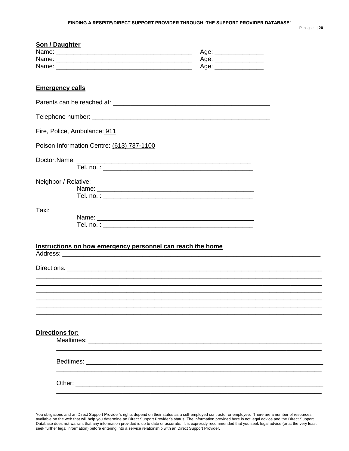|       | Son / Daughter                                                                                                                                                                                                                |  |
|-------|-------------------------------------------------------------------------------------------------------------------------------------------------------------------------------------------------------------------------------|--|
|       |                                                                                                                                                                                                                               |  |
|       |                                                                                                                                                                                                                               |  |
|       |                                                                                                                                                                                                                               |  |
|       |                                                                                                                                                                                                                               |  |
|       | <b>Emergency calls</b>                                                                                                                                                                                                        |  |
|       |                                                                                                                                                                                                                               |  |
|       |                                                                                                                                                                                                                               |  |
|       | Fire, Police, Ambulance: 911                                                                                                                                                                                                  |  |
|       | Poison Information Centre: (613) 737-1100                                                                                                                                                                                     |  |
|       |                                                                                                                                                                                                                               |  |
|       |                                                                                                                                                                                                                               |  |
|       | Neighbor / Relative:                                                                                                                                                                                                          |  |
|       |                                                                                                                                                                                                                               |  |
|       |                                                                                                                                                                                                                               |  |
| Taxi: |                                                                                                                                                                                                                               |  |
|       |                                                                                                                                                                                                                               |  |
|       |                                                                                                                                                                                                                               |  |
|       |                                                                                                                                                                                                                               |  |
|       | Instructions on how emergency personnel can reach the home                                                                                                                                                                    |  |
|       |                                                                                                                                                                                                                               |  |
|       |                                                                                                                                                                                                                               |  |
|       |                                                                                                                                                                                                                               |  |
|       |                                                                                                                                                                                                                               |  |
|       |                                                                                                                                                                                                                               |  |
|       |                                                                                                                                                                                                                               |  |
|       |                                                                                                                                                                                                                               |  |
|       |                                                                                                                                                                                                                               |  |
|       | Directions for:                                                                                                                                                                                                               |  |
|       |                                                                                                                                                                                                                               |  |
|       |                                                                                                                                                                                                                               |  |
|       | Bedtimes: Electrical Contract of the Contract of the Contract of the Contract of the Contract of the Contract of the Contract of the Contract of the Contract of the Contract of the Contract of the Contract of the Contract |  |
|       |                                                                                                                                                                                                                               |  |
|       | Other: <u>www.communications.communications.com</u>                                                                                                                                                                           |  |
|       |                                                                                                                                                                                                                               |  |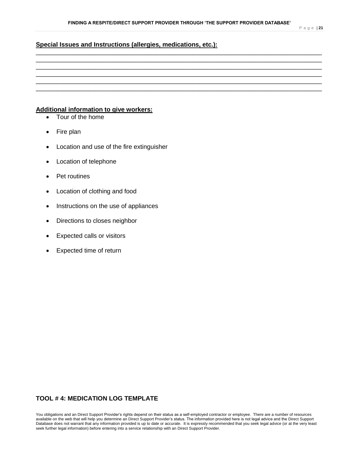P a g e | **21**

## **Special Issues and Instructions (allergies, medications, etc.):**

# \_\_\_\_\_\_\_\_\_\_\_\_\_\_\_\_\_\_\_\_\_\_\_\_\_\_\_\_\_\_\_\_\_\_\_\_\_\_\_\_\_\_\_\_\_\_\_\_\_\_\_\_\_\_\_\_\_\_\_\_\_\_\_\_\_\_\_\_\_\_\_\_\_\_\_\_\_\_\_\_\_\_ \_\_\_\_\_\_\_\_\_\_\_\_\_\_\_\_\_\_\_\_\_\_\_\_\_\_\_\_\_\_\_\_\_\_\_\_\_\_\_\_\_\_\_\_\_\_\_\_\_\_\_\_\_\_\_\_\_\_\_\_\_\_\_\_\_\_\_\_\_\_\_\_\_\_\_\_\_\_\_\_\_\_ \_\_\_\_\_\_\_\_\_\_\_\_\_\_\_\_\_\_\_\_\_\_\_\_\_\_\_\_\_\_\_\_\_\_\_\_\_\_\_\_\_\_\_\_\_\_\_\_\_\_\_\_\_\_\_\_\_\_\_\_\_\_\_\_\_\_\_\_\_\_\_\_\_\_\_\_\_\_\_\_\_\_ \_\_\_\_\_\_\_\_\_\_\_\_\_\_\_\_\_\_\_\_\_\_\_\_\_\_\_\_\_\_\_\_\_\_\_\_\_\_\_\_\_\_\_\_\_\_\_\_\_\_\_\_\_\_\_\_\_\_\_\_\_\_\_\_\_\_\_\_\_\_\_\_\_\_\_\_\_\_\_\_\_\_ \_\_\_\_\_\_\_\_\_\_\_\_\_\_\_\_\_\_\_\_\_\_\_\_\_\_\_\_\_\_\_\_\_\_\_\_\_\_\_\_\_\_\_\_\_\_\_\_\_\_\_\_\_\_\_\_\_\_\_\_\_\_\_\_\_\_\_\_\_\_\_\_\_\_\_\_\_\_\_\_\_\_ \_\_\_\_\_\_\_\_\_\_\_\_\_\_\_\_\_\_\_\_\_\_\_\_\_\_\_\_\_\_\_\_\_\_\_\_\_\_\_\_\_\_\_\_\_\_\_\_\_\_\_\_\_\_\_\_\_\_\_\_\_\_\_\_\_\_\_\_\_\_\_\_\_\_\_\_\_\_\_\_\_\_

## **Additional information to give workers:**

- Tour of the home
- Fire plan
- Location and use of the fire extinguisher
- Location of telephone
- Pet routines
- Location of clothing and food
- Instructions on the use of appliances
- Directions to closes neighbor
- Expected calls or visitors
- Expected time of return

# **TOOL # 4: MEDICATION LOG TEMPLATE**